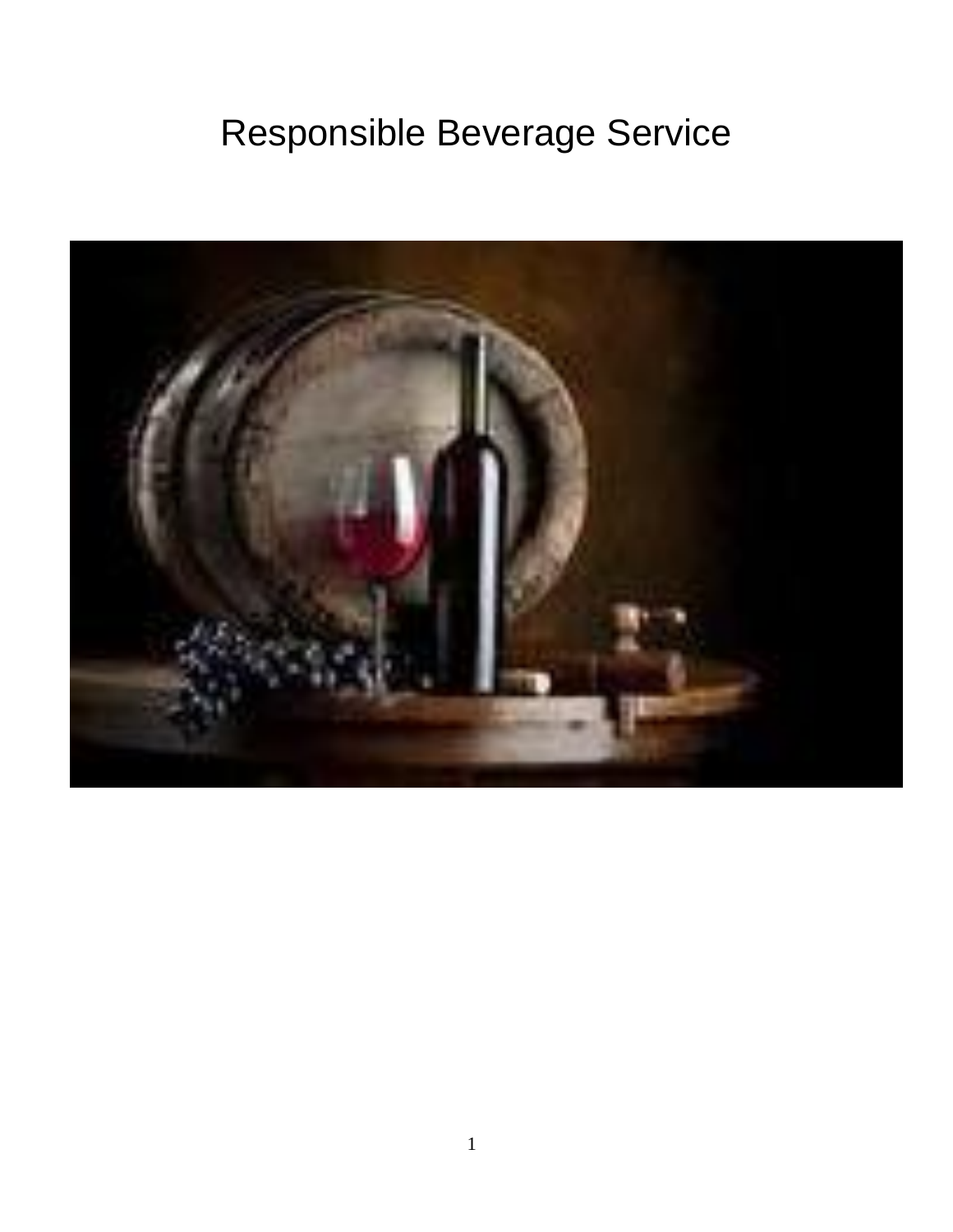# Responsible Beverage Service

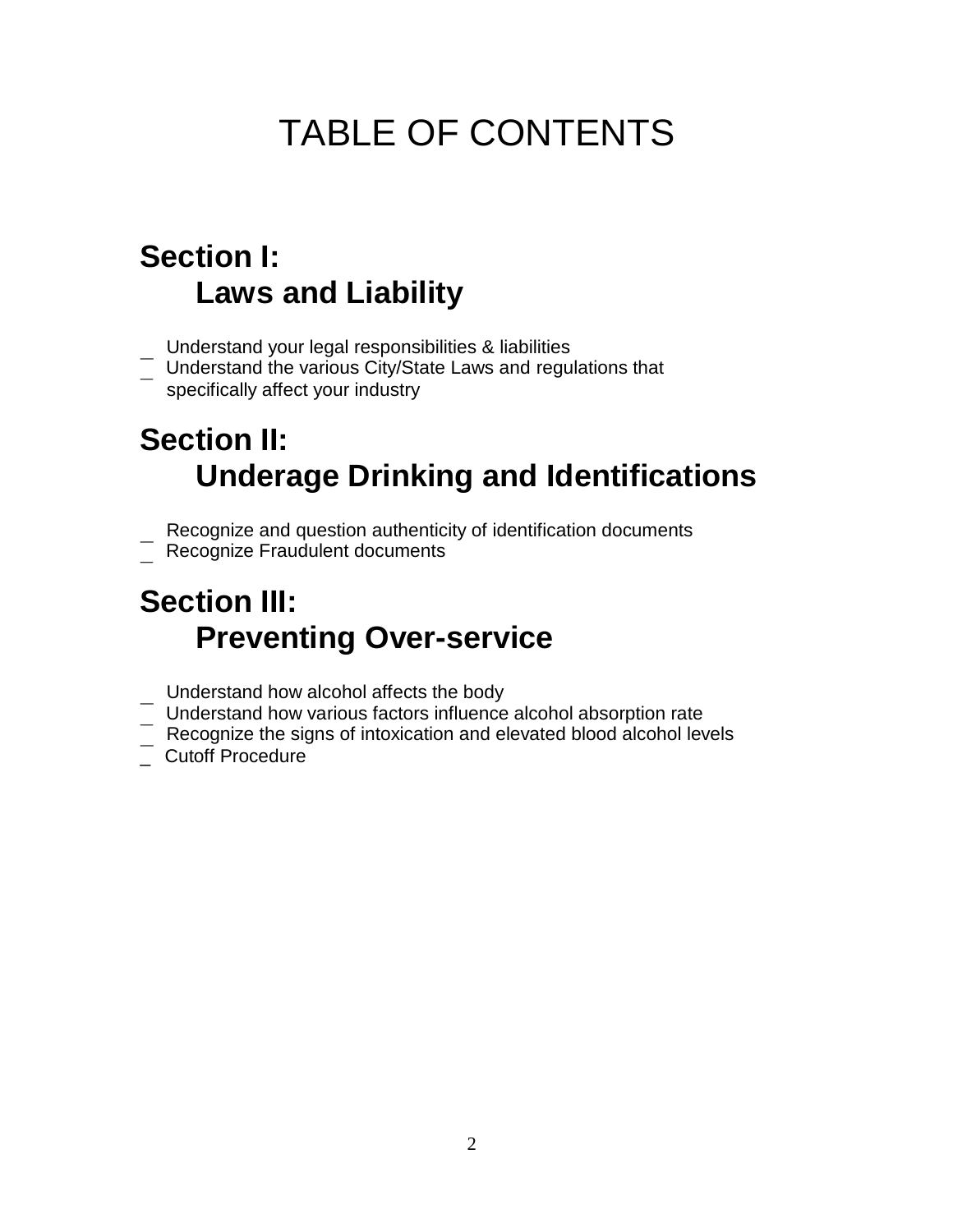# TABLE OF CONTENTS

#### **Section I: Laws and Liability**

- Understand your legal responsibilities & liabilities
- \_ Understand the various City/State Laws and regulations that specifically affect your industry

## **Section II: Underage Drinking and Identifications**

- Recognize and question authenticity of identification documents
- <sup>-</sup> Recognize Fraudulent documents

## **Section III: Preventing Over-service**

- \_ Understand how alcohol affects the body
- $-$  Understand how various factors influence alcohol absorption rate
- $-$  Recognize the signs of intoxication and elevated blood alcohol levels
- \_\_ Recognize the sig<br>\_\_ Cutoff Procedure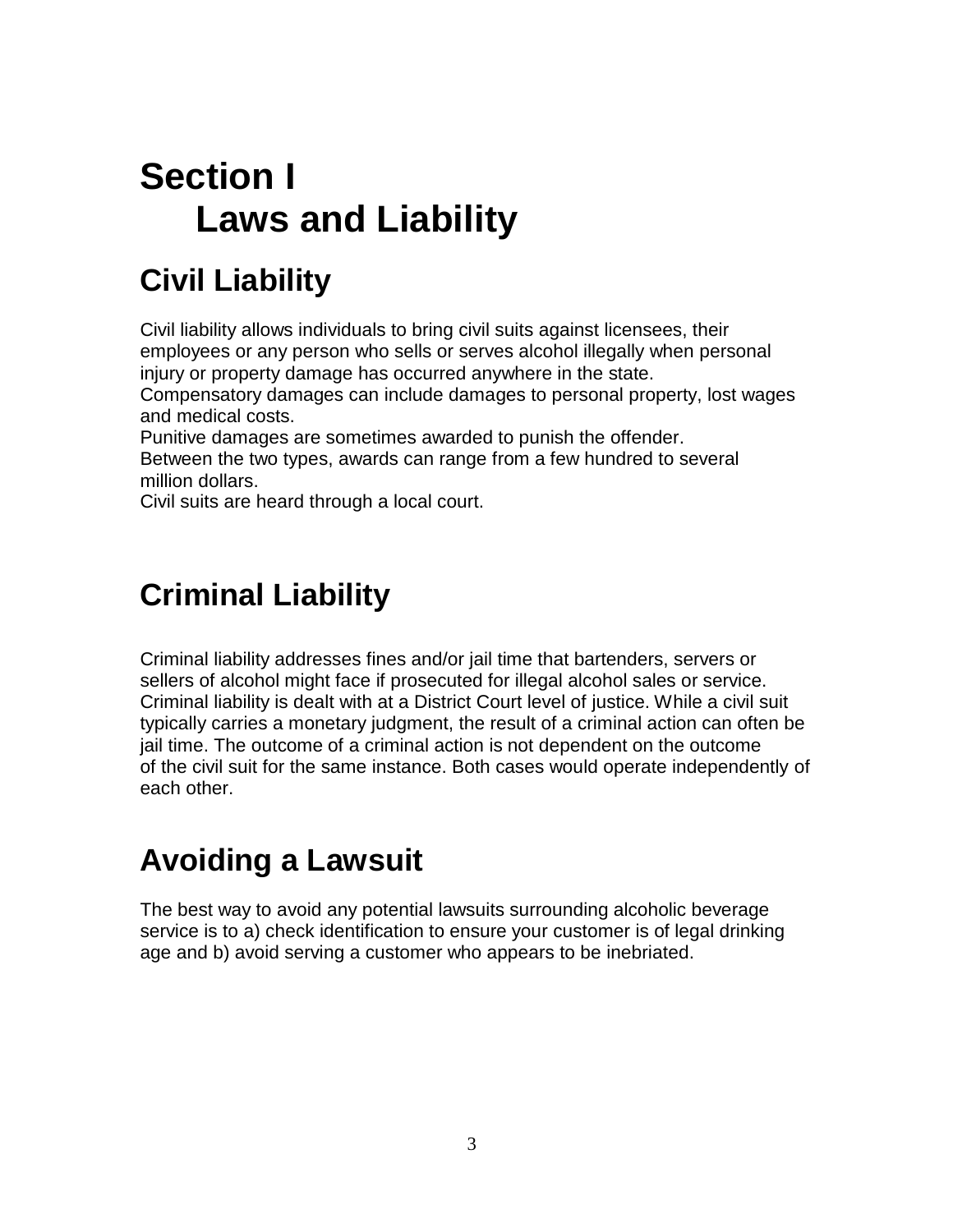## **Section I Laws and Liability**

## **Civil Liability**

Civil liability allows individuals to bring civil suits against licensees, their employees or any person who sells or serves alcohol illegally when personal injury or property damage has occurred anywhere in the state.

Compensatory damages can include damages to personal property, lost wages and medical costs.

Punitive damages are sometimes awarded to punish the offender. Between the two types, awards can range from a few hundred to several million dollars.

Civil suits are heard through a local court.

#### **Criminal Liability**

Criminal liability addresses fines and/or jail time that bartenders, servers or sellers of alcohol might face if prosecuted for illegal alcohol sales or service. Criminal liability is dealt with at a District Court level of justice. While a civil suit typically carries a monetary judgment, the result of a criminal action can often be jail time. The outcome of a criminal action is not dependent on the outcome of the civil suit for the same instance. Both cases would operate independently of each other.

#### **Avoiding a Lawsuit**

The best way to avoid any potential lawsuits surrounding alcoholic beverage service is to a) check identification to ensure your customer is of legal drinking age and b) avoid serving a customer who appears to be inebriated.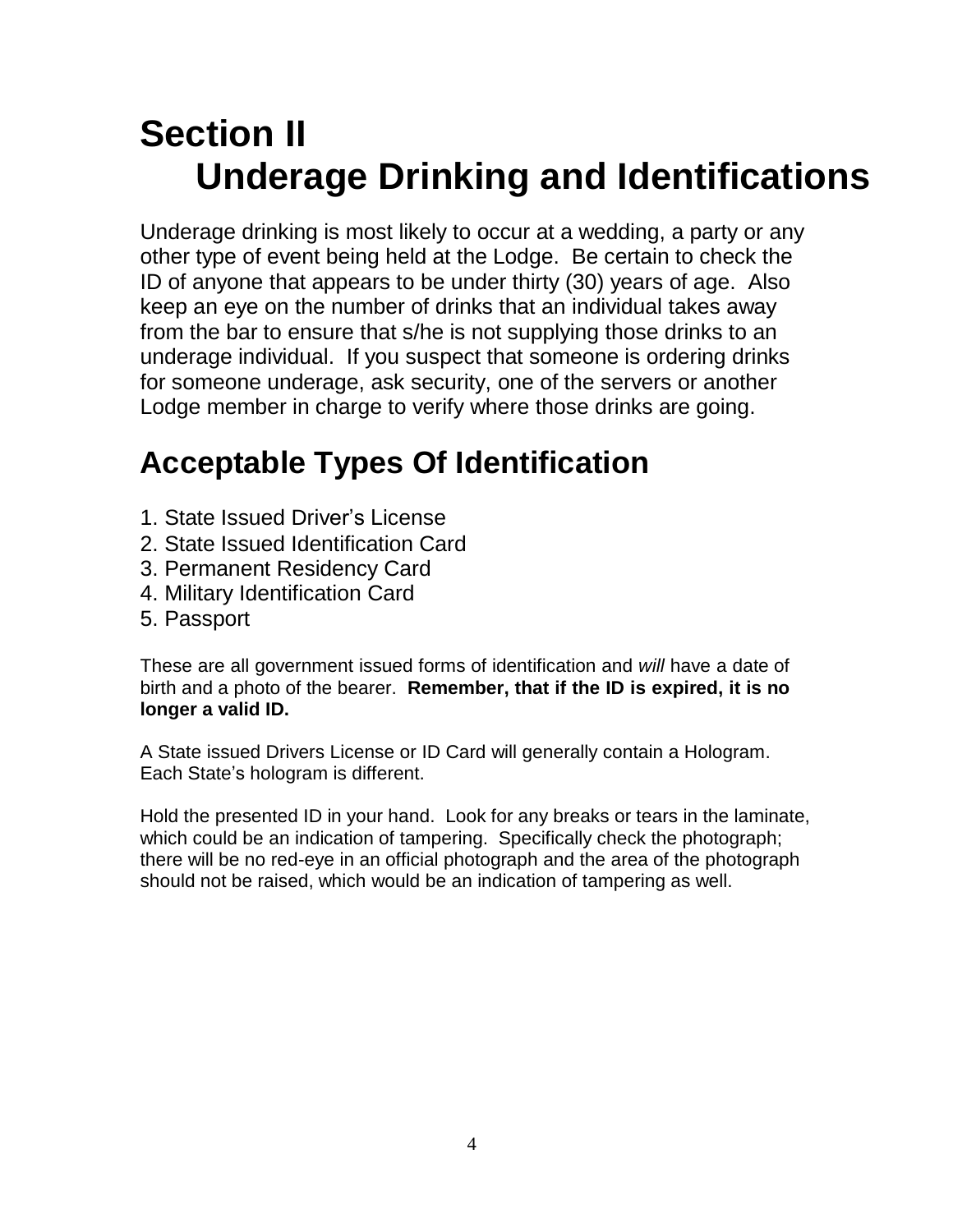## **Section II Underage Drinking and Identifications**

Underage drinking is most likely to occur at a wedding, a party or any other type of event being held at the Lodge. Be certain to check the ID of anyone that appears to be under thirty (30) years of age. Also keep an eye on the number of drinks that an individual takes away from the bar to ensure that s/he is not supplying those drinks to an underage individual. If you suspect that someone is ordering drinks for someone underage, ask security, one of the servers or another Lodge member in charge to verify where those drinks are going.

### **Acceptable Types Of Identification**

- 1. State Issued Driver's License
- 2. State Issued Identification Card
- 3. Permanent Residency Card
- 4. Military Identification Card
- 5. Passport

These are all government issued forms of identification and *will* have a date of birth and a photo of the bearer. **Remember, that if the ID is expired, it is no longer a valid ID.**

A State issued Drivers License or ID Card will generally contain a Hologram. Each State's hologram is different.

Hold the presented ID in your hand. Look for any breaks or tears in the laminate, which could be an indication of tampering. Specifically check the photograph; there will be no red-eye in an official photograph and the area of the photograph should not be raised, which would be an indication of tampering as well.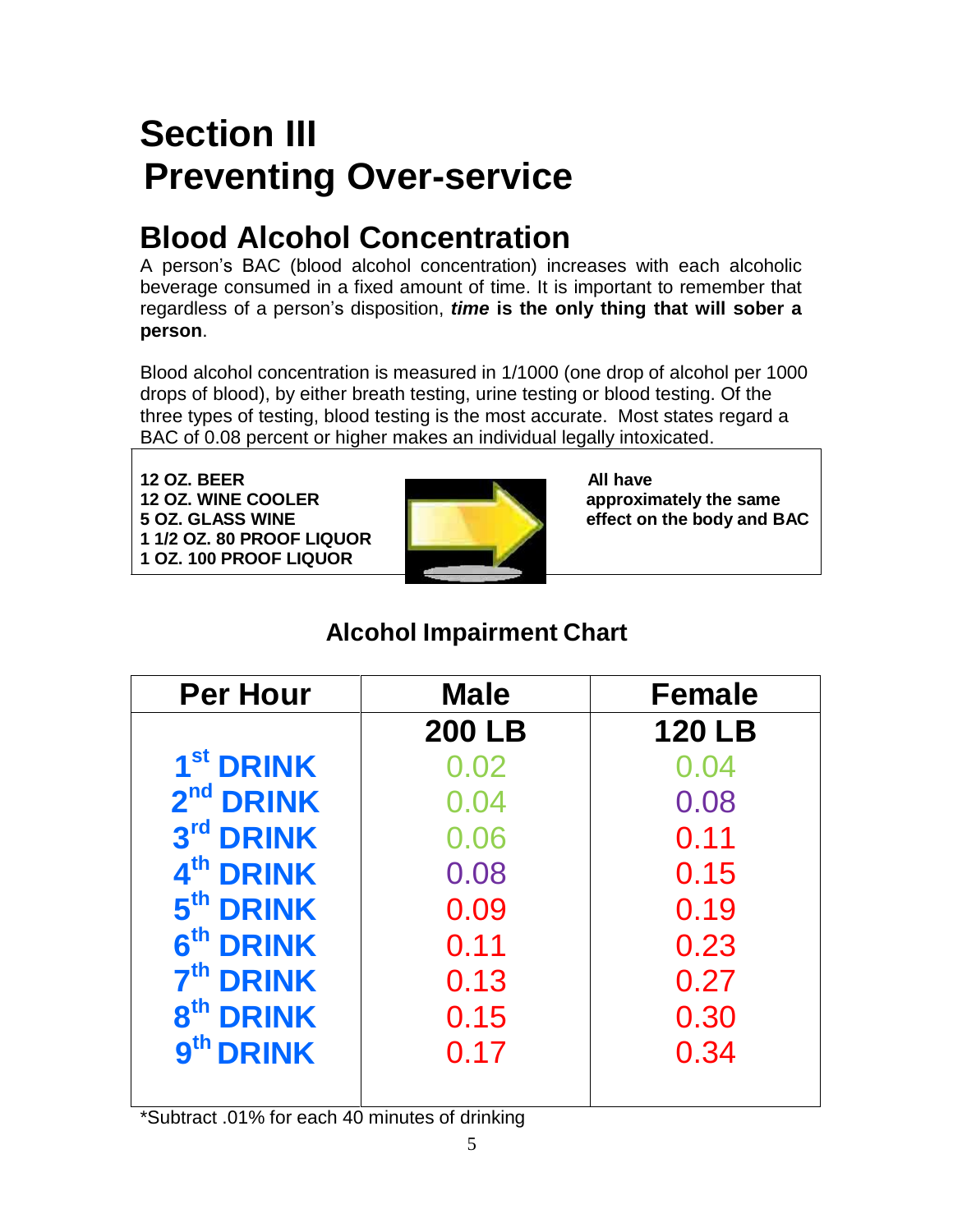# **Section III Preventing Over-service**

## **Blood Alcohol Concentration**

A person's BAC (blood alcohol concentration) increases with each alcoholic beverage consumed in a fixed amount of time. It is important to remember that regardless of a person's disposition, *time* **is the only thing that will sober a person**.

Blood alcohol concentration is measured in 1/1000 (one drop of alcohol per 1000 drops of blood), by either breath testing, urine testing or blood testing. Of the three types of testing, blood testing is the most accurate. Most states regard a BAC of 0.08 percent or higher makes an individual legally intoxicated.

**12 OZ. BEER** All have **12 OZ. WINE COOLER approximately the same 5 OZ. GLASS WINE effect on the body and BAC 1 1/2 OZ. 80 PROOF LIQUOR 1 OZ. 100 PROOF LIQUOR**



#### **Alcohol Impairment Chart**

| <b>Per Hour</b>       | <b>Male</b>   | <b>Female</b> |
|-----------------------|---------------|---------------|
|                       | <b>200 LB</b> | <b>120 LB</b> |
| 1 <sup>st</sup> DRINK | 0.02          | 0.04          |
| 2 <sup>nd</sup> DRINK | 0.04          | 0.08          |
| 3rd DRINK             | 0.06          | 0.11          |
| 4 <sup>th</sup> DRINK | 0.08          | 0.15          |
| 5 <sup>th</sup> DRINK | 0.09          | 0.19          |
| 6 <sup>th</sup> DRINK | 0.11          | 0.23          |
| 7 <sup>th</sup> DRINK | 0.13          | 0.27          |
| 8 <sup>th</sup> DRINK | 0.15          | 0.30          |
| 9th DRINK             | 0.17          | 0.34          |
|                       |               |               |

\*Subtract .01% for each 40 minutes of drinking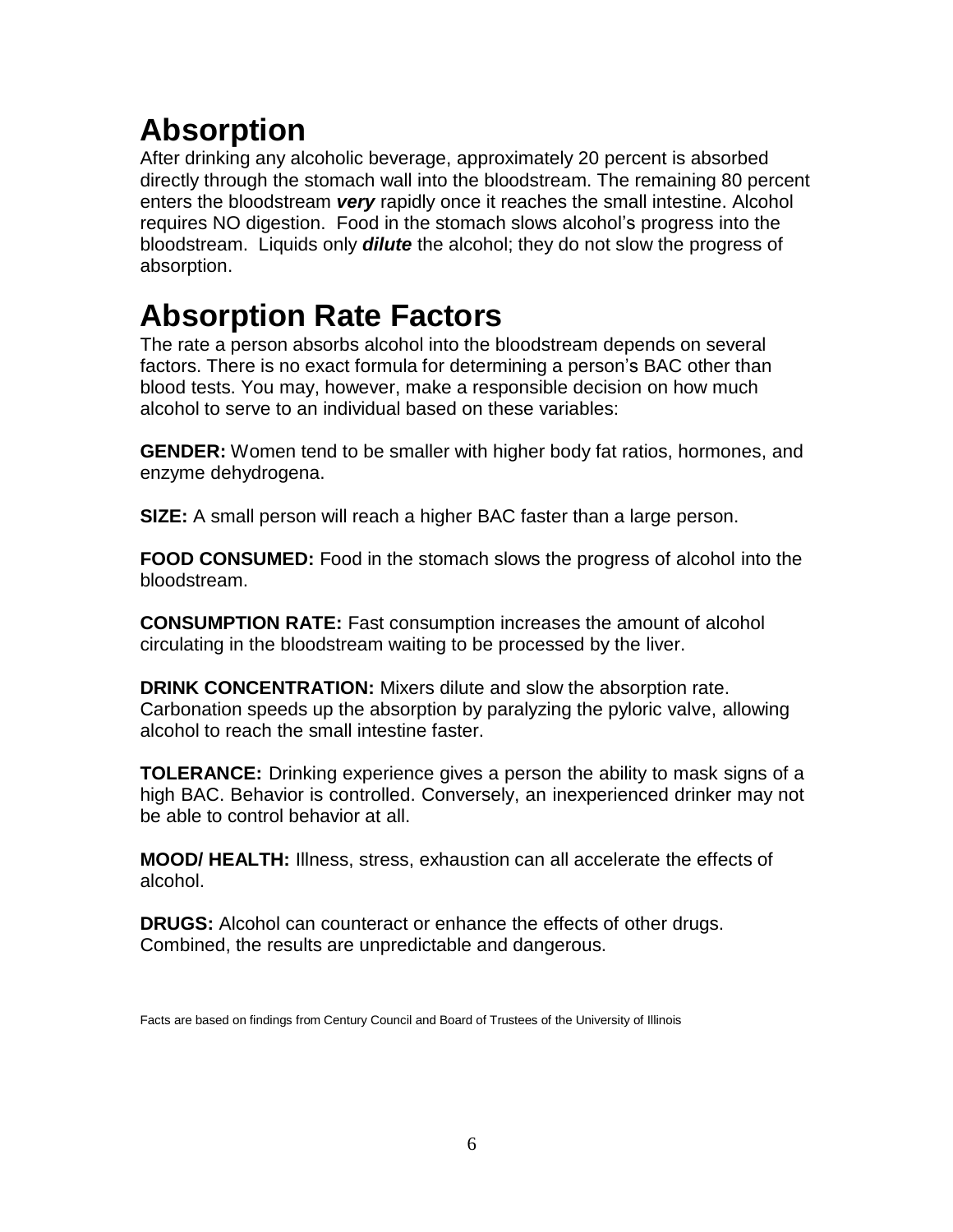### **Absorption**

After drinking any alcoholic beverage, approximately 20 percent is absorbed directly through the stomach wall into the bloodstream. The remaining 80 percent enters the bloodstream *very* rapidly once it reaches the small intestine. Alcohol requires NO digestion. Food in the stomach slows alcohol's progress into the bloodstream. Liquids only *dilute* the alcohol; they do not slow the progress of absorption.

### **Absorption Rate Factors**

The rate a person absorbs alcohol into the bloodstream depends on several factors. There is no exact formula for determining a person's BAC other than blood tests. You may, however, make a responsible decision on how much alcohol to serve to an individual based on these variables:

**GENDER:** Women tend to be smaller with higher body fat ratios, hormones, and enzyme dehydrogena.

**SIZE:** A small person will reach a higher BAC faster than a large person.

**FOOD CONSUMED:** Food in the stomach slows the progress of alcohol into the bloodstream.

**CONSUMPTION RATE:** Fast consumption increases the amount of alcohol circulating in the bloodstream waiting to be processed by the liver.

**DRINK CONCENTRATION:** Mixers dilute and slow the absorption rate. Carbonation speeds up the absorption by paralyzing the pyloric valve, allowing alcohol to reach the small intestine faster.

**TOLERANCE:** Drinking experience gives a person the ability to mask signs of a high BAC. Behavior is controlled. Conversely, an inexperienced drinker may not be able to control behavior at all.

**MOOD/ HEALTH:** Illness, stress, exhaustion can all accelerate the effects of alcohol.

**DRUGS:** Alcohol can counteract or enhance the effects of other drugs. Combined, the results are unpredictable and dangerous.

Facts are based on findings from Century Council and Board of Trustees of the University of Illinois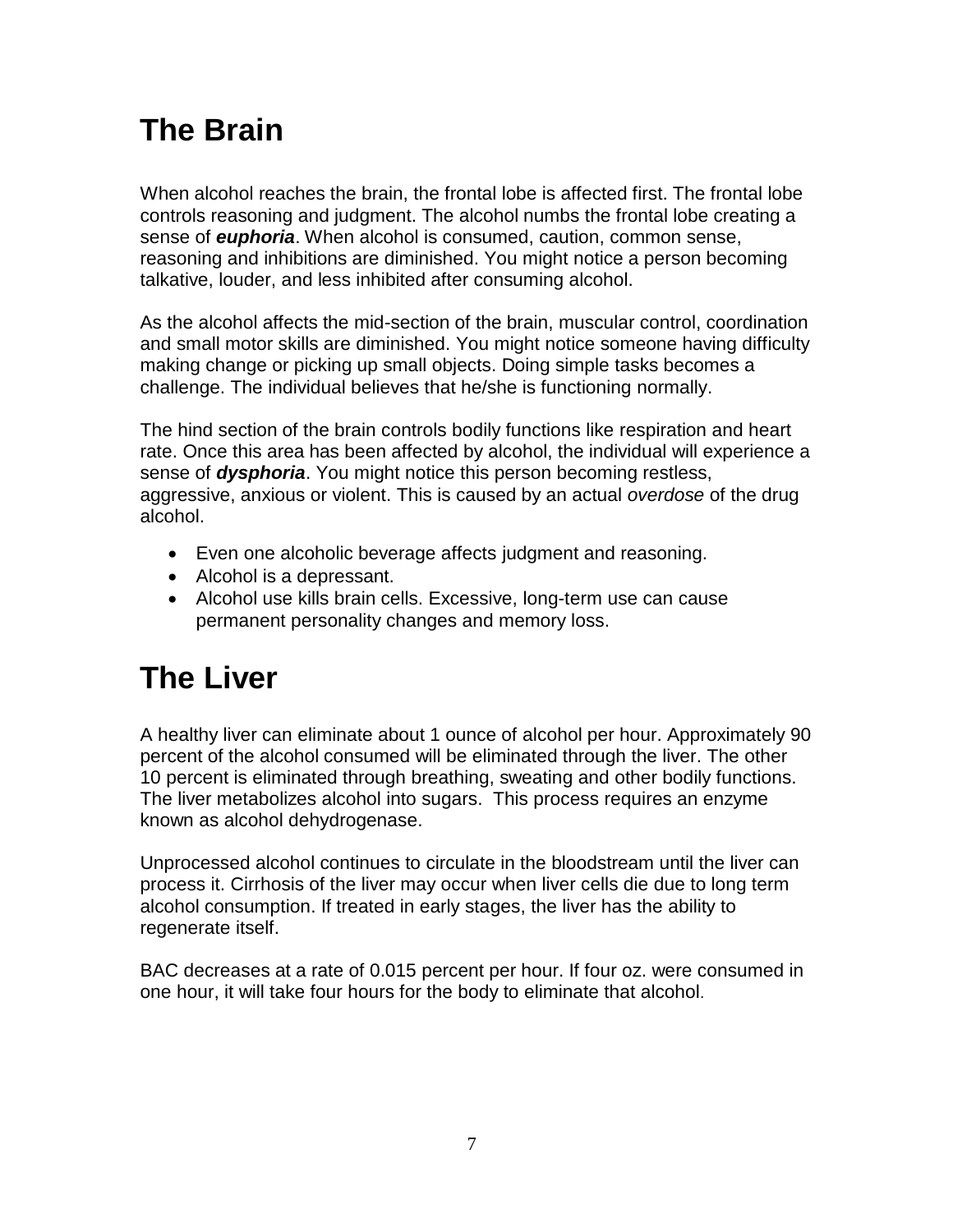### **The Brain**

When alcohol reaches the brain, the frontal lobe is affected first. The frontal lobe controls reasoning and judgment. The alcohol numbs the frontal lobe creating a sense of *euphoria*. When alcohol is consumed, caution, common sense, reasoning and inhibitions are diminished. You might notice a person becoming talkative, louder, and less inhibited after consuming alcohol.

As the alcohol affects the mid-section of the brain, muscular control, coordination and small motor skills are diminished. You might notice someone having difficulty making change or picking up small objects. Doing simple tasks becomes a challenge. The individual believes that he/she is functioning normally.

The hind section of the brain controls bodily functions like respiration and heart rate. Once this area has been affected by alcohol, the individual will experience a sense of *dysphoria*. You might notice this person becoming restless, aggressive, anxious or violent. This is caused by an actual *overdose* of the drug alcohol.

- Even one alcoholic beverage affects judgment and reasoning.
- Alcohol is a depressant.
- Alcohol use kills brain cells. Excessive, long-term use can cause permanent personality changes and memory loss.

### **The Liver**

A healthy liver can eliminate about 1 ounce of alcohol per hour. Approximately 90 percent of the alcohol consumed will be eliminated through the liver. The other 10 percent is eliminated through breathing, sweating and other bodily functions. The liver metabolizes alcohol into sugars. This process requires an enzyme known as alcohol dehydrogenase.

Unprocessed alcohol continues to circulate in the bloodstream until the liver can process it. Cirrhosis of the liver may occur when liver cells die due to long term alcohol consumption. If treated in early stages, the liver has the ability to regenerate itself.

BAC decreases at a rate of 0.015 percent per hour. If four oz. were consumed in one hour, it will take four hours for the body to eliminate that alcohol.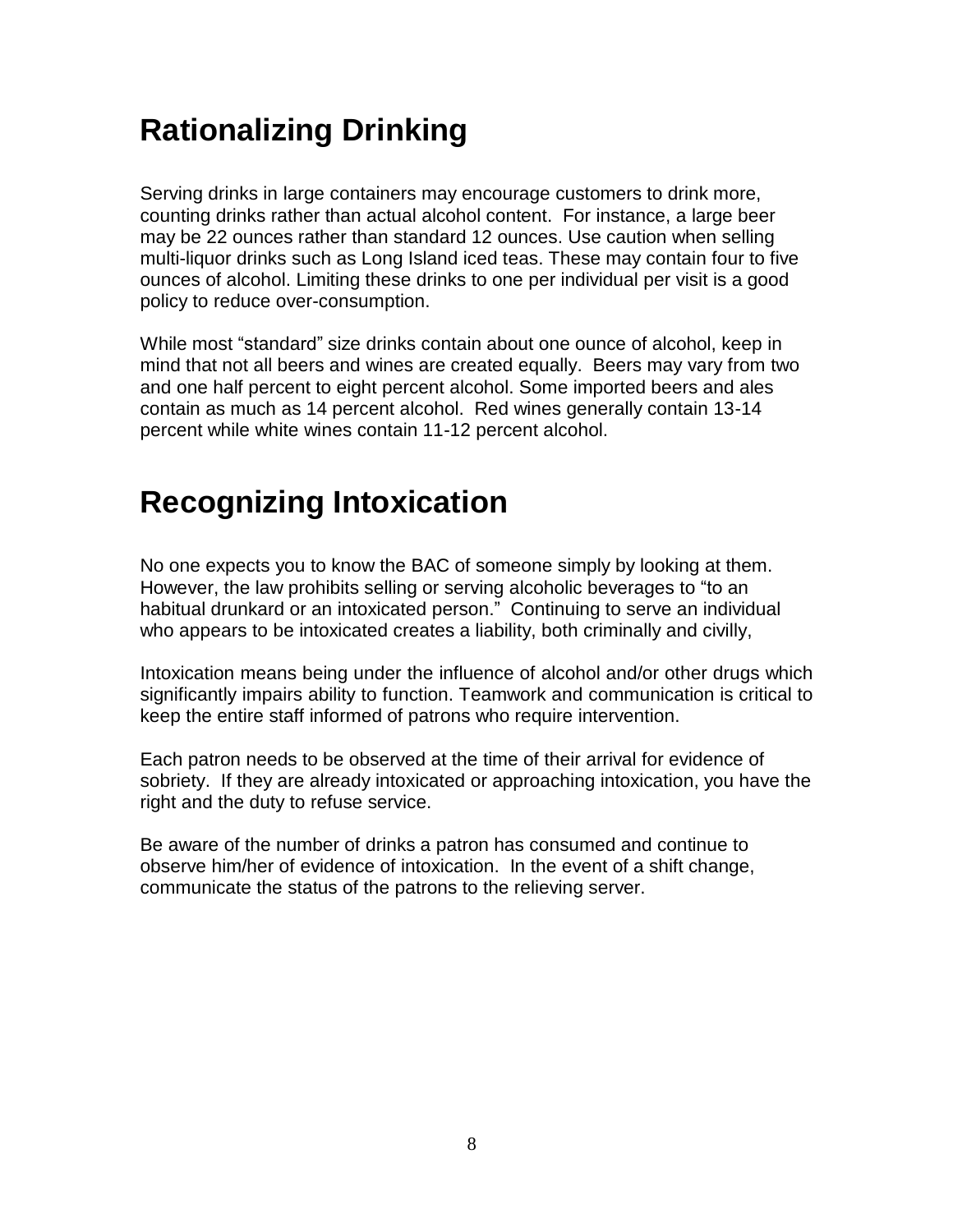### **Rationalizing Drinking**

Serving drinks in large containers may encourage customers to drink more, counting drinks rather than actual alcohol content. For instance, a large beer may be 22 ounces rather than standard 12 ounces. Use caution when selling multi-liquor drinks such as Long Island iced teas. These may contain four to five ounces of alcohol. Limiting these drinks to one per individual per visit is a good policy to reduce over-consumption.

While most "standard" size drinks contain about one ounce of alcohol, keep in mind that not all beers and wines are created equally. Beers may vary from two and one half percent to eight percent alcohol. Some imported beers and ales contain as much as 14 percent alcohol. Red wines generally contain 13-14 percent while white wines contain 11-12 percent alcohol.

### **Recognizing Intoxication**

No one expects you to know the BAC of someone simply by looking at them. However, the law prohibits selling or serving alcoholic beverages to "to an habitual drunkard or an intoxicated person." Continuing to serve an individual who appears to be intoxicated creates a liability, both criminally and civilly,

Intoxication means being under the influence of alcohol and/or other drugs which significantly impairs ability to function. Teamwork and communication is critical to keep the entire staff informed of patrons who require intervention.

Each patron needs to be observed at the time of their arrival for evidence of sobriety. If they are already intoxicated or approaching intoxication, you have the right and the duty to refuse service.

Be aware of the number of drinks a patron has consumed and continue to observe him/her of evidence of intoxication. In the event of a shift change, communicate the status of the patrons to the relieving server.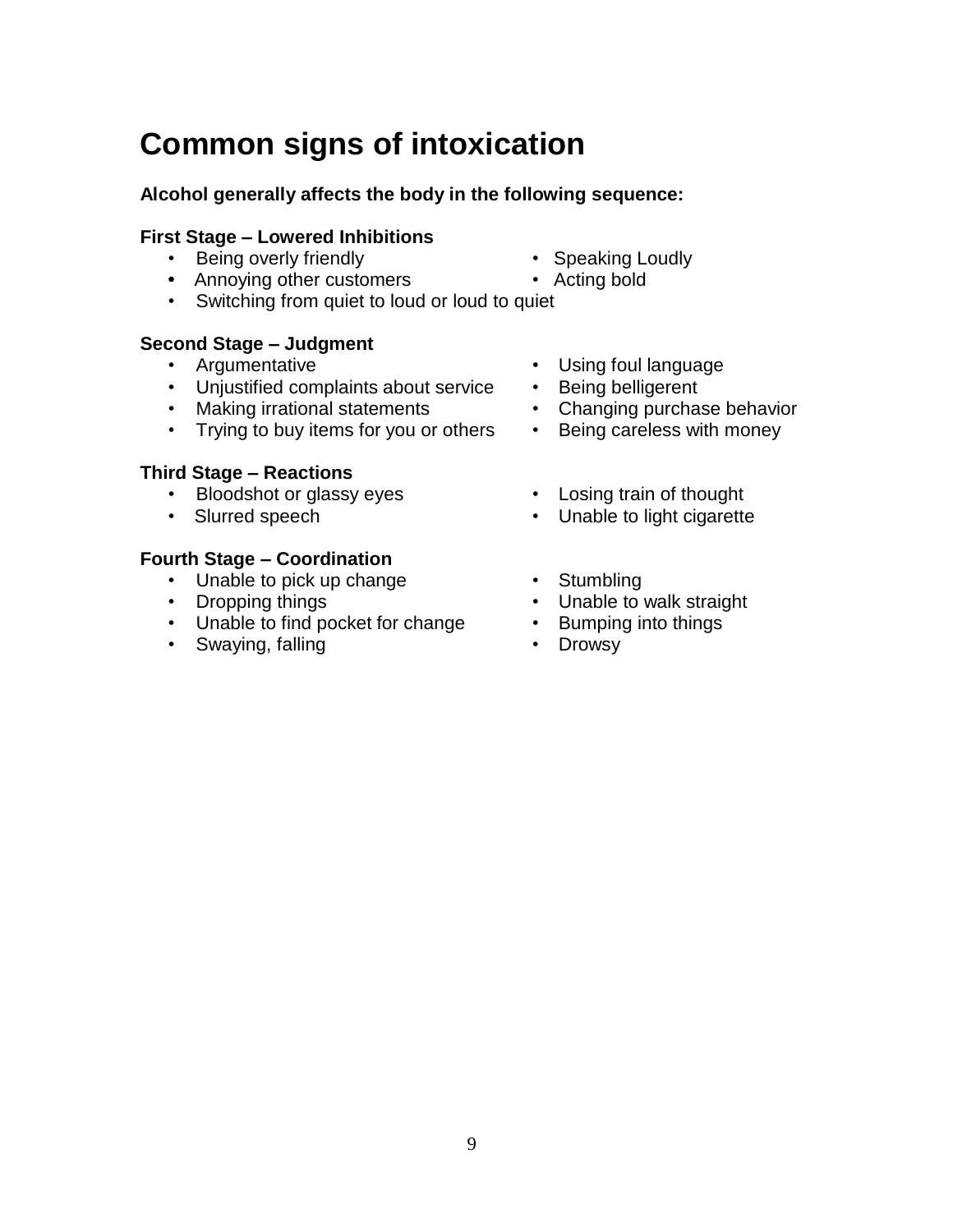#### **Common signs of intoxication**

#### **Alcohol generally affects the body in the following sequence:**

#### **First Stage – Lowered Inhibitions**

- Being overly friendly **•** Speaking Loudly
- Annoying other customers Acting bold
- Switching from quiet to loud or loud to quiet

#### **Second Stage – Judgment**

- 
- Unjustified complaints about service Being belligerent
- Making irrational statements Changing purchase behavior
- Trying to buy items for you or others Being careless with money

#### **Third Stage – Reactions**

- Bloodshot or glassy eyes Losing train of thought
- 

#### **Fourth Stage – Coordination**

- Unable to pick up change Stumbling<br>• Dropping things Unable to
- 
- Unable to find pocket for change Bumping into things
- Swaying, falling **•** Drowsy
- 
- 
- Argumentative Using foul language
	-
	-
	-
	-
- Slurred speech Unable to light cigarette
	-
	- Unable to walk straight
	-
	-